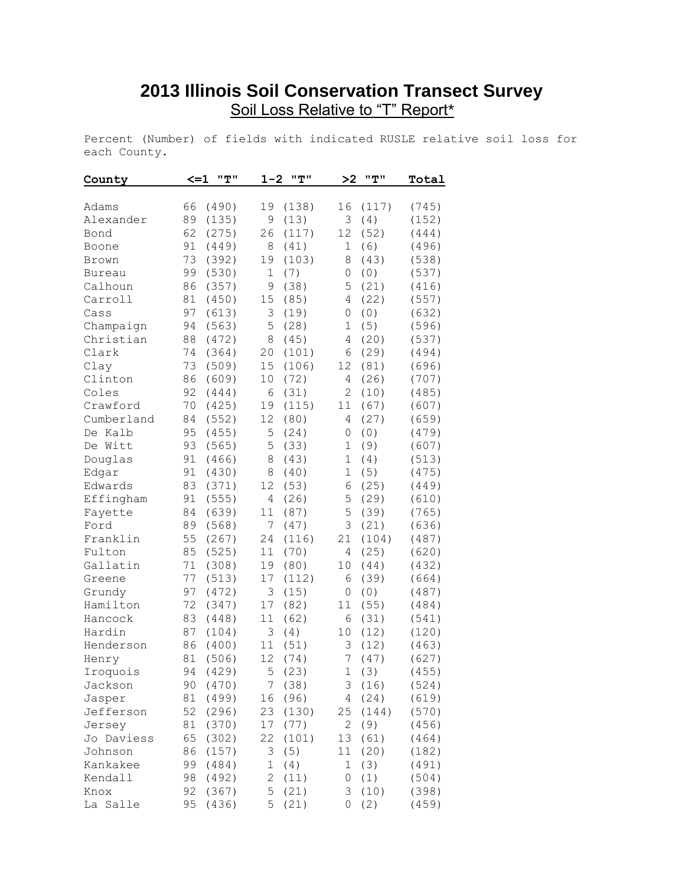## **2013 Illinois Soil Conservation Transect Survey** Soil Loss Relative to "T" Report\*

Percent (Number) of fields with indicated RUSLE relative soil loss for each County.

| County        | $\leq$ $-1$ | "T"      | $1 - 2$     | "T"   | >2               | "T"   | Total |
|---------------|-------------|----------|-------------|-------|------------------|-------|-------|
| Adams         | 66          | (490)    | 19          | (138) | 16               | (117) | (745) |
| Alexander     | 89          | (135)    | 9           | (13)  | 3                | (4)   | (152) |
| Bond          | 62          | (275)    | 26          | (117) | 12               | (52)  | (444) |
| Boone         | 91          | (449)    | 8           | (41)  | 1                | (6)   | (496) |
| Brown         | 73          | (392)    | 19          | (103) | 8                | (43)  | (538) |
| <b>Bureau</b> | 99          | (530)    | 1           | (7)   | 0                | (0)   | (537) |
| Calhoun       | 86          | (357)    | 9           | (38)  | 5                | (21)  | (416) |
| Carroll       | 81          | (450)    | 15          | (85)  | 4                | (22)  | (557) |
| Cass          | 97          | (613)    | 3           | (19)  | 0                | (0)   | (632) |
| Champaign     | 94          | (563)    | 5           | (28)  | 1                | (5)   | (596) |
| Christian     | 88          | (472)    | 8           | (45)  | 4                | (20)  | (537) |
| Clark         | 74          | (364)    | 20          | (101) | 6                | (29)  | (494) |
| Clay          | 73          | (509)    | 15          | (106) | 12               | (81)  | (696) |
| Clinton       | 86          | (609)    | 10          | (72)  | 4                | (26)  | (707) |
| Coles         | 92          | (444)    | 6           | (31)  | 2                | (10)  | (485) |
| Crawford      | 70          | (425)    | 19          | (115) | 11               | (67)  | (607) |
| Cumberland    | 84          | (552)    | 12          | (80)  | 4                | (27)  | (659) |
| De Kalb       | 95          | (455)    | 5           | (24)  | 0                | (0)   | (479) |
| De Witt       | 93          | (565)    | 5           | (33)  | $\mathbf 1$      | (9)   | (607) |
| Douglas       | 91          | (466)    | 8           | (43)  | $\mathbf 1$      | (4)   | (513) |
| Edgar         | 91          | (430)    | 8           | (40)  | $\mathbf 1$      | (5)   | (475) |
| Edwards       | 83          | (371)    | 12          | (53)  | 6                | (25)  | (449) |
| Effingham     | 91          | (555)    | 4           | (26)  | 5                | (29)  | (610) |
| Fayette       | 84          | (639)    | 11          | (87)  | 5                | (39)  | (765) |
| Ford          | 89          | (568)    | 7           | (47)  | 3                | (21)  | (636) |
| Franklin      | 55          | (267)    | 24          | (116) | 21               | (104) | (487) |
| Fulton        | 85          | (525)    | 11          | (70)  | 4                | (25)  | (620) |
| Gallatin      | 71          | (308)    | 19          | (80)  | 10               | (44)  | (432) |
| Greene        | 77          | (513)    | 17          | (112) | 6                | (39)  | (664) |
| Grundy        | 97          | (472)    | 3           | (15)  | 0                | (0)   | (487) |
| Hamilton      | 72          | (347)    | 17          | (82)  | 11               | (55)  | (484) |
| Hancock       | 83          | (448)    | 11          | (62)  | 6                | (31)  | (541) |
| Hardin        | 87          | (104)    | 3           | (4)   | 10               | (12)  | (120) |
| Henderson     | 86          | (400)    | 11          | (51)  | 3                | (12)  | (463) |
| Henry         | 81          | (506)    | 12          | (74)  | $\boldsymbol{7}$ | (47)  | (627) |
| Iroquois      |             | 94 (429) |             | 5(23) |                  | 1(3)  | (455) |
| Jackson       | 90          | (470)    | 7           | (38)  | 3                | (16)  | (524) |
| Jasper        | 81          | (499)    | 16          | (96)  | $\overline{4}$   | (24)  | (619) |
| Jefferson     | 52          | (296)    | 23          | (130) | 25               | (144) | (570) |
| Jersey        | 81          | (370)    | 17          | (77)  | $\overline{2}$   | (9)   | (456) |
| Jo Daviess    | 65          | (302)    | 22          | (101) | 13               | (61)  | (464) |
| Johnson       | 86          | (157)    | 3           | (5)   | 11               | (20)  | (182) |
| Kankakee      | 99          | (484)    | $\mathbf 1$ | (4)   | $\mathbf 1$      | (3)   | (491) |
| Kendall       | 98          | (492)    | 2           | (11)  | 0                | (1)   | (504) |
| Knox          | 92          | (367)    | 5           | (21)  | 3                | (10)  | (398) |
| La Salle      | 95          | (436)    | 5           | (21)  | 0                | (2)   | (459) |